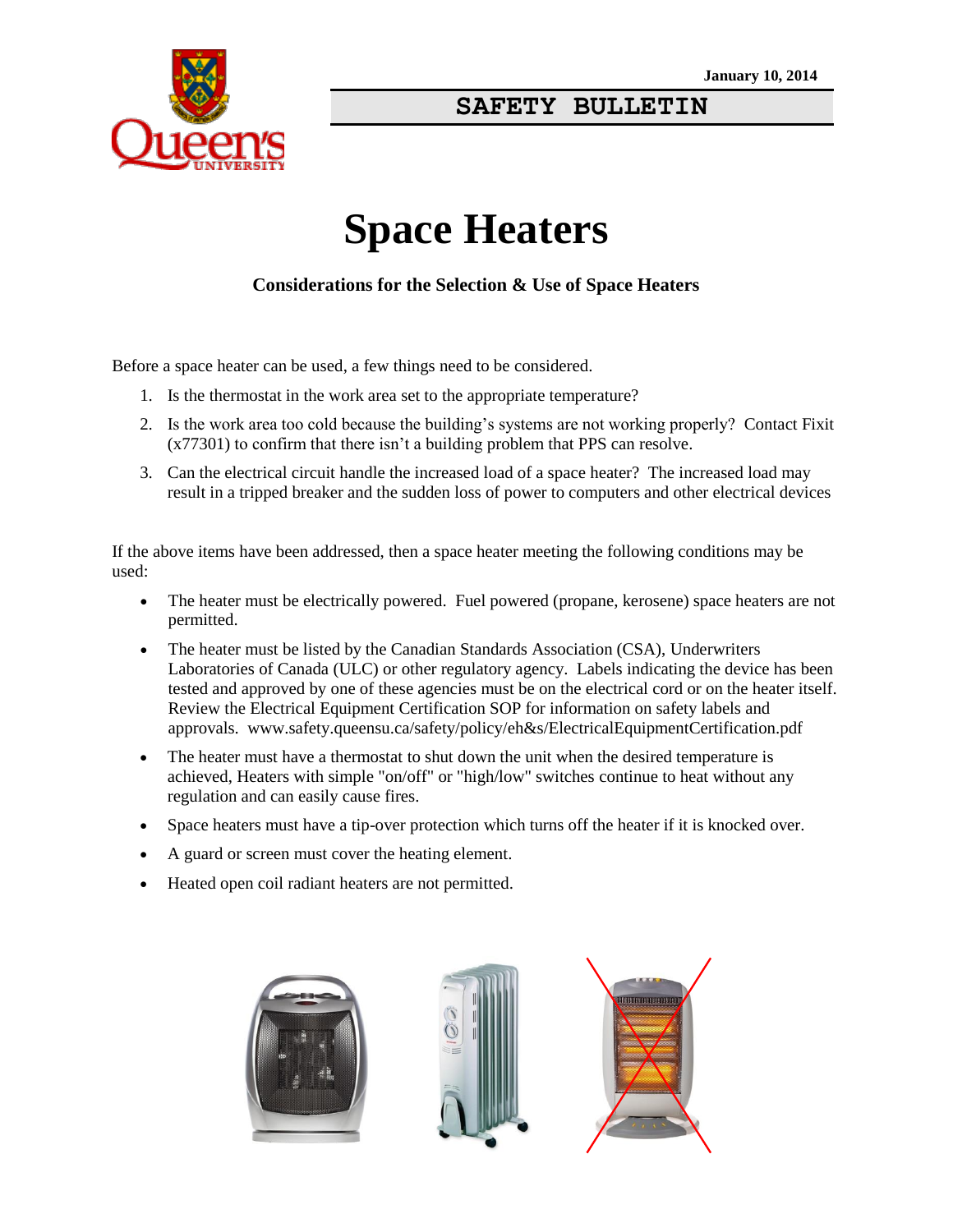

## **SAFETY BULLETIN**

# **Space Heaters**

#### **Considerations for the Selection & Use of Space Heaters**

Before a space heater can be used, a few things need to be considered.

- 1. Is the thermostat in the work area set to the appropriate temperature?
- 2. Is the work area too cold because the building's systems are not working properly? Contact Fixit (x77301) to confirm that there isn't a building problem that PPS can resolve.
- 3. Can the electrical circuit handle the increased load of a space heater? The increased load may result in a tripped breaker and the sudden loss of power to computers and other electrical devices

If the above items have been addressed, then a space heater meeting the following conditions may be used:

- The heater must be electrically powered. Fuel powered (propane, kerosene) space heaters are not permitted.
- The heater must be listed by the Canadian Standards Association (CSA), Underwriters Laboratories of Canada (ULC) or other regulatory agency. Labels indicating the device has been tested and approved by one of these agencies must be on the electrical cord or on the heater itself. Review the Electrical Equipment Certification SOP for information on safety labels and approvals. www.safety.queensu.ca/safety/policy/eh&s/ElectricalEquipmentCertification.pdf
- The heater must have a thermostat to shut down the unit when the desired temperature is achieved, Heaters with simple "on/off" or "high/low" switches continue to heat without any regulation and can easily cause fires.
- Space heaters must have a tip-over protection which turns off the heater if it is knocked over.
- A guard or screen must cover the heating element.
- Heated open coil radiant heaters are not permitted.